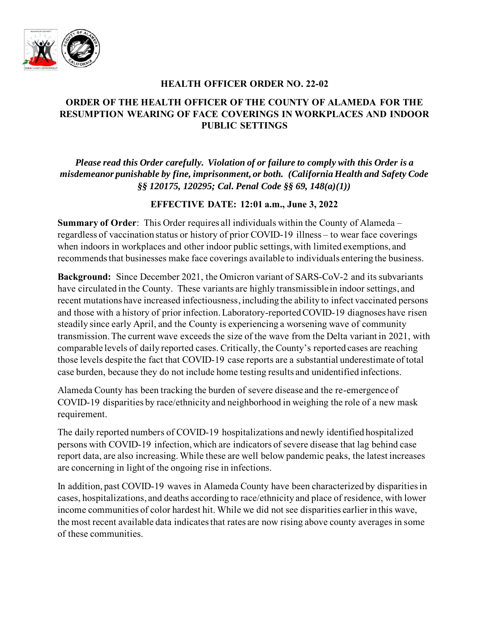

### **HEALTH OFFICER ORDER NO. 22-02**

# **ORDER OF THE HEALTH OFFICER OF THE COUNTY OF ALAMEDA FOR THE RESUMPTION WEARING OF FACE COVERINGS IN WORKPLACES AND INDOOR PUBLIC SETTINGS**

*Please read this Order carefully. Violation of or failure to comply with this Order is a misdemeanor punishable by fine, imprisonment, or both. (California Health and Safety Code §§ 120175, 120295; Cal. Penal Code §§ 69, 148(a)(1))*

## **EFFECTIVE DATE: 12:01 a.m., June 3, 2022**

**Summary of Order**: This Order requires all individuals within the County of Alameda – regardless of vaccination status or history of prior COVID-19 illness – to wear face coverings when indoors in workplaces and other indoor public settings, with limited exemptions, and recommends that businesses make face coverings available to individuals entering the business.

**Background:** Since December 2021, the Omicron variant of SARS-CoV-2 and its subvariants have circulated in the County. These variants are highly transmissible in indoor settings, and recent mutations have increased infectiousness, including the ability to infect vaccinated persons and those with a history of prior infection.Laboratory-reported COVID-19 diagnoses have risen steadily since early April, and the County is experiencing a worsening wave of community transmission. The current wave exceeds the size of the wave from the Delta variant in 2021, with comparable levels of daily reported cases. Critically, the County's reported cases are reaching those levels despite the fact that COVID-19 case reports are a substantial underestimate of total case burden, because they do not include home testing results and unidentified infections.

Alameda County has been tracking the burden of severe disease and the re-emergence of COVID-19 disparities by race/ethnicity and neighborhood in weighing the role of a new mask requirement.

The daily reported numbers of COVID-19 hospitalizations and newly identified hospitalized persons with COVID-19 infection, which are indicators of severe disease that lag behind case report data, are also increasing. While these are well below pandemic peaks, the latest increases are concerning in light of the ongoing rise in infections.

In addition, past COVID-19 waves in Alameda County have been characterized by disparities in cases, hospitalizations, and deaths according to race/ethnicity and place of residence, with lower income communities of color hardest hit. While we did not see disparities earlier in this wave, the most recent available data indicates that rates are now rising above county averages in some of these communities.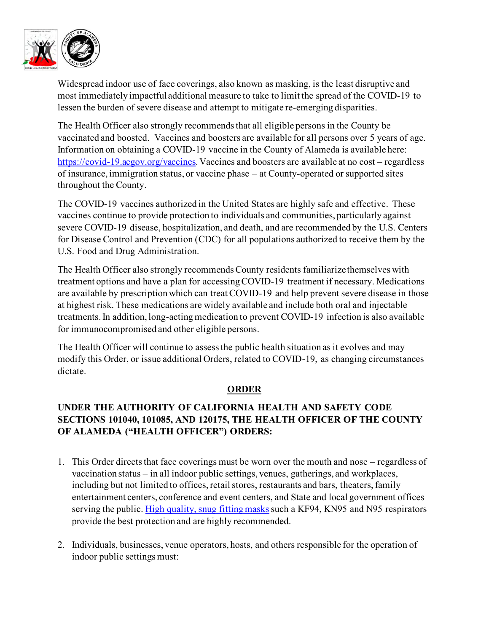

Widespread indoor use of face coverings, also known as masking, is the least disruptive and most immediately impactful additional measure to take to limit the spread of the COVID-19 to lessen the burden of severe disease and attempt to mitigate re-emerging disparities.

The Health Officer also strongly recommends that all eligible persons in the County be vaccinated and boosted. Vaccines and boosters are available for all persons over 5 years of age. Information on obtaining a COVID-19 vaccine in the County of Alameda is available here: [https://covid-19.acgov.org/vaccines.](https://covid-19.acgov.org/vaccines) Vaccines and boosters are available at no cost – regardless of insurance, immigration status, or vaccine phase – at County-operated or supported sites throughout the County.

The COVID-19 vaccines authorized in the United States are highly safe and effective. These vaccines continue to provide protection to individuals and communities, particularly against severe COVID-19 disease, hospitalization, and death, and are recommended by the U.S. Centers for Disease Control and Prevention (CDC) for all populations authorized to receive them by the U.S. Food and Drug Administration.

The Health Officer also strongly recommends County residents familiarize themselves with treatment options and have a plan for accessing COVID-19 treatment if necessary. Medications are available by prescription which can treat COVID-19 and help prevent severe disease in those at highest risk. These medications are widely available and include both oral and injectable treatments. In addition, long-acting medication to prevent COVID-19 infection is also available for immunocompromised and other eligible persons.

The Health Officer will continue to assess the public health situation as it evolves and may modify this Order, or issue additional Orders, related to COVID-19, as changing circumstances dictate.

#### **ORDER**

## **UNDER THE AUTHORITY OF CALIFORNIA HEALTH AND SAFETY CODE SECTIONS 101040, 101085, AND 120175, THE HEALTH OFFICER OF THE COUNTY OF ALAMEDA ("HEALTH OFFICER") ORDERS:**

- 1. This Order directs that face coverings must be worn over the mouth and nose regardless of vaccination status – in all indoor public settings, venues, gatherings, and workplaces, including but not limited to offices, retail stores, restaurants and bars, theaters, family entertainment centers, conference and event centers, and State and local government offices serving the public. [High quality, snug fitting masks](https://www.cdph.ca.gov/Programs/CID/DCDC/Pages/COVID-19/Get-the-Most-out-of-Masking.aspx) such a KF94, KN95 and N95 respirators provide the best protection and are highly recommended.
- 2. Individuals, businesses, venue operators, hosts, and others responsible for the operation of indoor public settings must: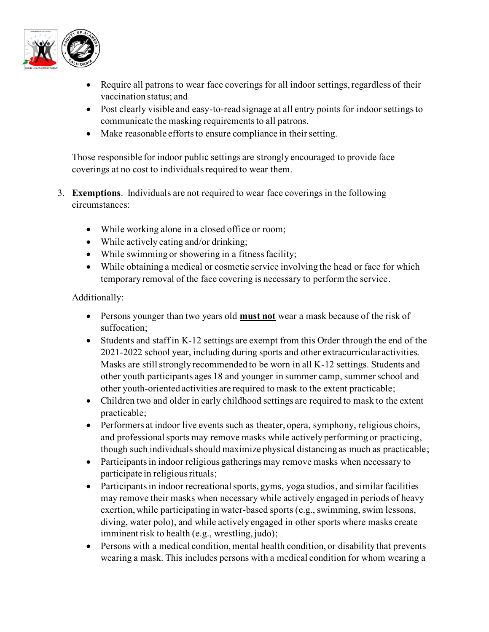

- Require all patrons to wear face coverings for all indoor settings, regardless of their vaccination status; and
- Post clearly visible and easy-to-read signage at all entry points for indoor settings to communicate the masking requirements to all patrons.
- Make reasonable efforts to ensure compliance in their setting.

Those responsible for indoor public settings are strongly encouraged to provide face coverings at no cost to individuals required to wear them.

- 3. **Exemptions**. Individuals are not required to wear face coverings in the following circumstances:
	- While working alone in a closed office or room;
	- While actively eating and/or drinking;
	- While swimming or showering in a fitness facility;
	- While obtaining a medical or cosmetic service involving the head or face for which temporary removal of the face covering is necessary to perform the service.

Additionally:

- Persons younger than two years old **must not** wear a mask because of the risk of suffocation;
- Students and staff in K-12 settings are exempt from this Order through the end of the 2021-2022 school year, including during sports and other extracurricular activities. Masks are still strongly recommended to be worn in all K-12 settings. Students and other youth participants ages 18 and younger in summer camp, summer school and other youth-oriented activities are required to mask to the extent practicable;
- Children two and older in early childhood settings are required to mask to the extent practicable;
- Performers at indoor live events such as theater, opera, symphony, religious choirs, and professional sports may remove masks while actively performing or practicing, though such individuals should maximize physical distancing as much as practicable;
- Participants in indoor religious gatherings may remove masks when necessary to participate in religious rituals;
- Participants in indoor recreational sports, gyms, yoga studios, and similar facilities may remove their masks when necessary while actively engaged in periods of heavy exertion, while participating in water-based sports (e.g., swimming, swim lessons, diving, water polo), and while actively engaged in other sports where masks create imminent risk to health (e.g., wrestling, judo);
- Persons with a medical condition, mental health condition, or disability that prevents wearing a mask. This includes persons with a medical condition for whom wearing a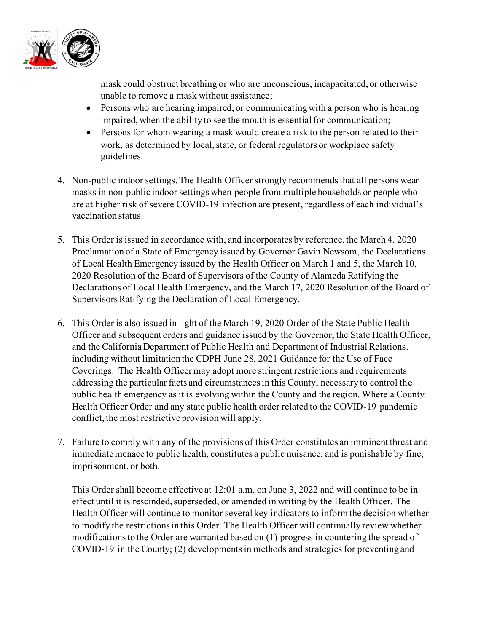

mask could obstruct breathing or who are unconscious, incapacitated, or otherwise unable to remove a mask without assistance;

- Persons who are hearing impaired, or communicating with a person who is hearing impaired, when the ability to see the mouth is essential for communication;
- Persons for whom wearing a mask would create a risk to the person related to their work, as determined by local, state, or federal regulators or workplace safety guidelines.
- 4. Non-public indoor settings. The Health Officer strongly recommends that all persons wear masks in non-public indoor settings when people from multiple households or people who are at higher risk of severe COVID-19 infection are present, regardless of each individual's vaccination status.
- 5. This Order is issued in accordance with, and incorporates by reference, the March 4, 2020 Proclamation of a State of Emergency issued by Governor Gavin Newsom, the Declarations of Local Health Emergency issued by the Health Officer on March 1 and 5, the March 10, 2020 Resolution of the Board of Supervisors of the County of Alameda Ratifying the Declarations of Local Health Emergency, and the March 17, 2020 Resolution of the Board of Supervisors Ratifying the Declaration of Local Emergency.
- 6. This Order is also issued in light of the March 19, 2020 Order of the State Public Health Officer and subsequent orders and guidance issued by the Governor, the State Health Officer, and the California Department of Public Health and Department of Industrial Relations, including without limitation the CDPH June 28, 2021 Guidance for the Use of Face Coverings. The Health Officer may adopt more stringent restrictions and requirements addressing the particular facts and circumstances in this County, necessary to control the public health emergency as it is evolving within the County and the region. Where a County Health Officer Order and any state public health order related to the COVID-19 pandemic conflict, the most restrictive provision will apply.
- 7. Failure to comply with any of the provisions of this Order constitutes an imminent threat and immediate menace to public health, constitutes a public nuisance, and is punishable by fine, imprisonment, or both.

This Order shall become effective at 12:01 a.m. on June 3, 2022 and will continue to be in effect until it is rescinded, superseded, or amended in writing by the Health Officer. The Health Officer will continue to monitor several key indicators to inform the decision whether to modify the restrictions in this Order. The Health Officer will continually review whether modifications to the Order are warranted based on (1) progress in countering the spread of COVID-19 in the County; (2) developments in methods and strategies for preventing and